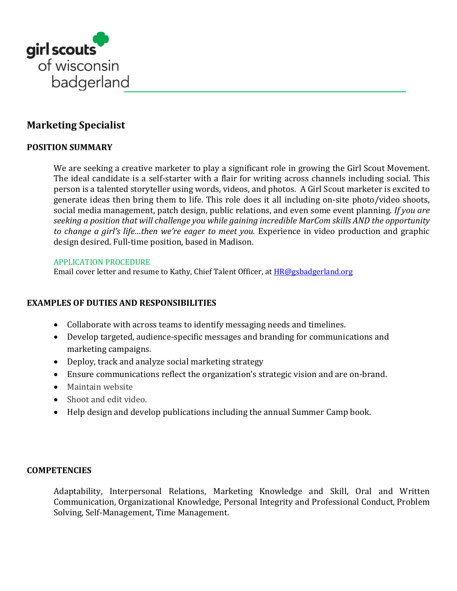

# **Marketing Specialist**

### **POSITION SUMMARY**

We are seeking a creative marketer to play a significant role in growing the Girl Scout Movement. The ideal candidate is a self-starter with a flair for writing across channels including social. This person is a talented storyteller using words, videos, and photos. A Girl Scout marketer is excited to generate ideas then bring them to life. This role does it all including on-site photo/video shoots, social media management, patch design, public relations, and even some event planning*. If you are seeking a position that will challenge you while gaining incredible MarCom skills AND the opportunity to change a girl's life…then we're eager to meet you.* Experience in video production and graphic design desired. Full-time position, based in Madison.

### APPLICATION PROCEDURE

Email cover letter and resume to Kathy, Chief Talent Officer, at [HR@gsbadgerland.org](mailto:HR@gsbadgerland.org?subject=I%20want%20to%20be%20a%20Girl%20Scout%20Marketer!)

### **EXAMPLES OF DUTIES AND RESPONSIBILITIES**

- Collaborate with across teams to identify messaging needs and timelines.
- Develop targeted, audience-specific messages and branding for communications and marketing campaigns.
- Deploy, track and analyze social marketing strategy
- Ensure communications reflect the organization's strategic vision and are on-brand.
- Maintain website
- Shoot and edit video.
- Help design and develop publications including the annual Summer Camp book.

### **COMPETENCIES**

Adaptability, Interpersonal Relations, Marketing Knowledge and Skill, Oral and Written Communication, Organizational Knowledge, Personal Integrity and Professional Conduct, Problem Solving, Self-Management, Time Management.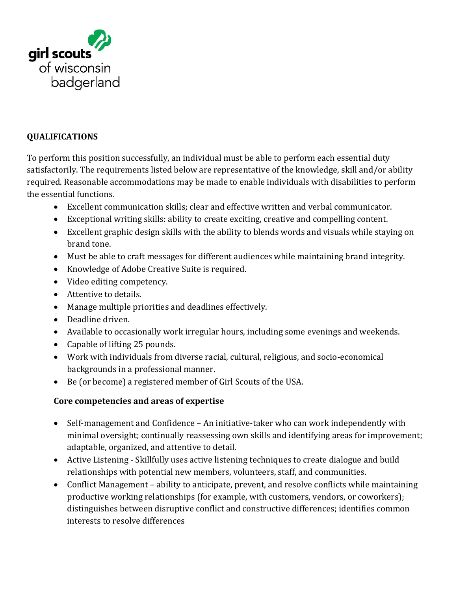

## **QUALIFICATIONS**

To perform this position successfully, an individual must be able to perform each essential duty satisfactorily. The requirements listed below are representative of the knowledge, skill and/or ability required. Reasonable accommodations may be made to enable individuals with disabilities to perform the essential functions.

- Excellent communication skills; clear and effective written and verbal communicator.
- Exceptional writing skills: ability to create exciting, creative and compelling content.
- Excellent graphic design skills with the ability to blends words and visuals while staying on brand tone.
- Must be able to craft messages for different audiences while maintaining brand integrity.
- Knowledge of Adobe Creative Suite is required.
- Video editing competency.
- Attentive to details.
- Manage multiple priorities and deadlines effectively.
- Deadline driven.
- Available to occasionally work irregular hours, including some evenings and weekends.
- Capable of lifting 25 pounds.
- Work with individuals from diverse racial, cultural, religious, and socio-economical backgrounds in a professional manner.
- Be (or become) a registered member of Girl Scouts of the USA.

## **Core competencies and areas of expertise**

- Self-management and Confidence An initiative-taker who can work independently with minimal oversight; continually reassessing own skills and identifying areas for improvement; adaptable, organized, and attentive to detail.
- Active Listening Skillfully uses active listening techniques to create dialogue and build relationships with potential new members, volunteers, staff, and communities.
- Conflict Management ability to anticipate, prevent, and resolve conflicts while maintaining productive working relationships (for example, with customers, vendors, or coworkers); distinguishes between disruptive conflict and constructive differences; identifies common interests to resolve differences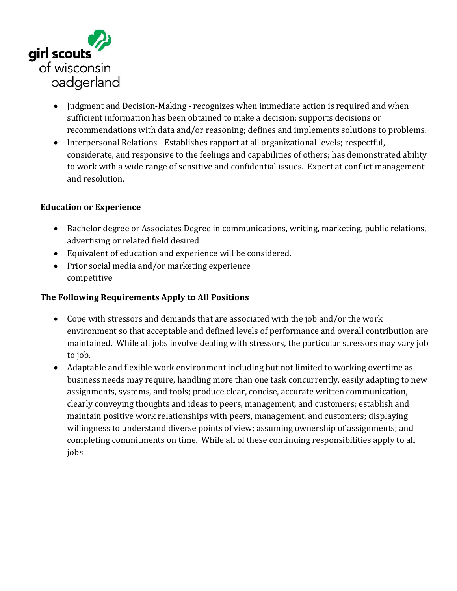

- Judgment and Decision-Making recognizes when immediate action is required and when sufficient information has been obtained to make a decision; supports decisions or recommendations with data and/or reasoning; defines and implements solutions to problems.
- Interpersonal Relations Establishes rapport at all organizational levels; respectful, considerate, and responsive to the feelings and capabilities of others; has demonstrated ability to work with a wide range of sensitive and confidential issues. Expert at conflict management and resolution.

## **Education or Experience**

- Bachelor degree or Associates Degree in communications, writing, marketing, public relations, advertising or related field desired
- Equivalent of education and experience will be considered.
- Prior social media and/or marketing experience competitive

## **The Following Requirements Apply to All Positions**

- Cope with stressors and demands that are associated with the job and/or the work environment so that acceptable and defined levels of performance and overall contribution are maintained. While all jobs involve dealing with stressors, the particular stressors may vary job to job.
- Adaptable and flexible work environment including but not limited to working overtime as business needs may require, handling more than one task concurrently, easily adapting to new assignments, systems, and tools; produce clear, concise, accurate written communication, clearly conveying thoughts and ideas to peers, management, and customers; establish and maintain positive work relationships with peers, management, and customers; displaying willingness to understand diverse points of view; assuming ownership of assignments; and completing commitments on time. While all of these continuing responsibilities apply to all jobs